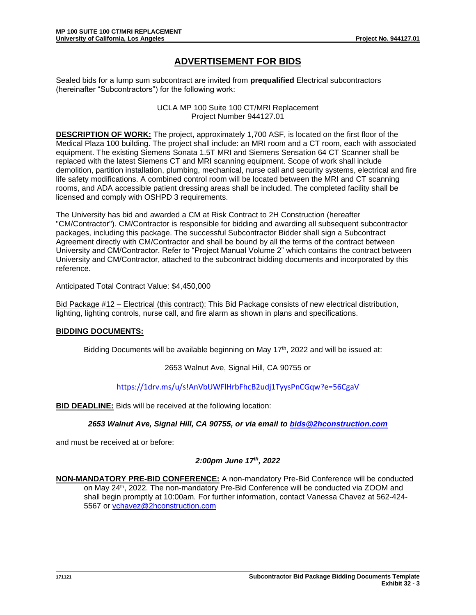# **ADVERTISEMENT FOR BIDS**

Sealed bids for a lump sum subcontract are invited from **prequalified** Electrical subcontractors (hereinafter "Subcontractors") for the following work:

> UCLA MP 100 Suite 100 CT/MRI Replacement Project Number 944127.01

**DESCRIPTION OF WORK:** The project, approximately 1,700 ASF, is located on the first floor of the Medical Plaza 100 building. The project shall include: an MRI room and a CT room, each with associated equipment. The existing Siemens Sonata 1.5T MRI and Siemens Sensation 64 CT Scanner shall be replaced with the latest Siemens CT and MRI scanning equipment. Scope of work shall include demolition, partition installation, plumbing, mechanical, nurse call and security systems, electrical and fire life safety modifications. A combined control room will be located between the MRI and CT scanning rooms, and ADA accessible patient dressing areas shall be included. The completed facility shall be licensed and comply with OSHPD 3 requirements.

The University has bid and awarded a CM at Risk Contract to 2H Construction (hereafter "CM/Contractor"). CM/Contractor is responsible for bidding and awarding all subsequent subcontractor packages, including this package. The successful Subcontractor Bidder shall sign a Subcontract Agreement directly with CM/Contractor and shall be bound by all the terms of the contract between University and CM/Contractor. Refer to "Project Manual Volume 2" which contains the contract between University and CM/Contractor, attached to the subcontract bidding documents and incorporated by this reference.

Anticipated Total Contract Value: \$4,450,000

Bid Package #12 – Electrical (this contract): This Bid Package consists of new electrical distribution, lighting, lighting controls, nurse call, and fire alarm as shown in plans and specifications.

## **BIDDING DOCUMENTS:**

Bidding Documents will be available beginning on May  $17<sup>th</sup>$ , 2022 and will be issued at:

#### 2653 Walnut Ave, Signal Hill, CA 90755 or

<https://1drv.ms/u/s!AnVbUWFlHrbFhcB2udj1TyysPnCGqw?e=56CgaV>

**BID DEADLINE:** Bids will be received at the following location:

*2653 Walnut Ave, Signal Hill, CA 90755, or via email to [bids@2hconstruction.com](mailto:bids@2hconstruction.com)*

and must be received at or before:

## *2:00pm June 17th, 2022*

**NON-MANDATORY PRE-BID CONFERENCE:** A non-mandatory Pre-Bid Conference will be conducted on May 24<sup>th</sup>, 2022. The non-mandatory Pre-Bid Conference will be conducted via ZOOM and shall begin promptly at 10:00am*.* For further information, contact Vanessa Chavez at 562-424- 5567 or [vchavez@2hconstruction.com](mailto:vchavez@2hconstruction.com)